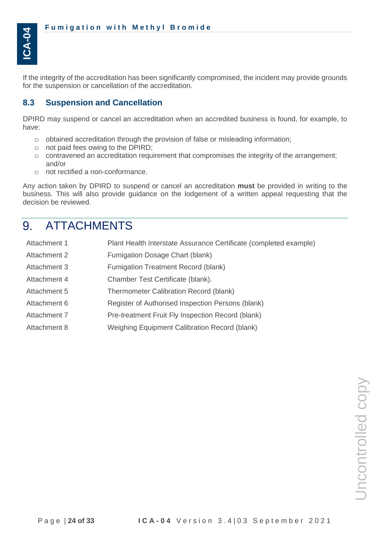If the integrity of the accreditation has been significantly compromised, the incident may provide grounds for the suspension or cancellation of the accreditation.

### **8.3 Suspension and Cancellation**

DPIRD may suspend or cancel an accreditation when an accredited business is found, for example, to have:

- $\circ$  obtained accreditation through the provision of false or misleading information;
- o not paid fees owing to the DPIRD;
- $\circ$  contravened an accreditation requirement that compromises the integrity of the arrangement; and/or
- o not rectified a non-conformance.

Any action taken by DPIRD to suspend or cancel an accreditation **must** be provided in writing to the business. This will also provide guidance on the lodgement of a written appeal requesting that the decision be reviewed.

#### 9. ATTACHMENTS

| Attachment 1 | Plant Health Interstate Assurance Certificate (completed example) |
|--------------|-------------------------------------------------------------------|
| Attachment 2 | Fumigation Dosage Chart (blank)                                   |
| Attachment 3 | Fumigation Treatment Record (blank)                               |
| Attachment 4 | Chamber Test Certificate (blank).                                 |
| Attachment 5 | Thermometer Calibration Record (blank)                            |
| Attachment 6 | Register of Authorised Inspection Persons (blank)                 |
| Attachment 7 | Pre-treatment Fruit Fly Inspection Record (blank)                 |
| Attachment 8 | Weighing Equipment Calibration Record (blank)                     |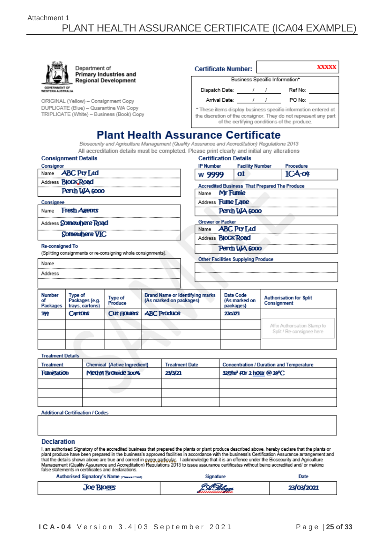|                                                  | Department of                                                                      | Primary Industries and      |                                                                                               | <b>Certificate Number:</b>                                                                                                                                                        |                                           |                        |                                               | XXXXX                                         |  |  |
|--------------------------------------------------|------------------------------------------------------------------------------------|-----------------------------|-----------------------------------------------------------------------------------------------|-----------------------------------------------------------------------------------------------------------------------------------------------------------------------------------|-------------------------------------------|------------------------|-----------------------------------------------|-----------------------------------------------|--|--|
|                                                  |                                                                                    | <b>Regional Development</b> |                                                                                               |                                                                                                                                                                                   |                                           |                        |                                               | Business Specific Information*                |  |  |
| <b>GOVERNMENT OF</b><br><b>WESTERN AUSTRALIA</b> |                                                                                    |                             |                                                                                               |                                                                                                                                                                                   |                                           |                        |                                               | Dispatch Date: / / / Ref No:                  |  |  |
|                                                  | ORIGINAL (Yellow) - Consignment Copy                                               |                             |                                                                                               |                                                                                                                                                                                   |                                           |                        |                                               | Arrival Date: / / / PO No:                    |  |  |
|                                                  | DUPLICATE (Blue) - Quarantine WA Copy<br>TRIPLICATE (White) - Business (Book) Copy |                             |                                                                                               | * These items display business specific information entered at<br>the discretion of the consignor. They do not represent any part<br>of the certifying conditions of the produce. |                                           |                        |                                               |                                               |  |  |
|                                                  |                                                                                    |                             | <b>Plant Health Assurance Certificate</b>                                                     |                                                                                                                                                                                   |                                           |                        |                                               |                                               |  |  |
|                                                  |                                                                                    |                             | Biosecurity and Agriculture Management (Quality Assurance and Accreditation) Regulations 2013 |                                                                                                                                                                                   |                                           |                        |                                               |                                               |  |  |
|                                                  |                                                                                    |                             | All accreditation details must be completed. Please print clearly and initial any alterations |                                                                                                                                                                                   |                                           |                        |                                               |                                               |  |  |
|                                                  | <b>Consignment Details</b>                                                         |                             |                                                                                               |                                                                                                                                                                                   | <b>Certification Details</b>              |                        |                                               |                                               |  |  |
| Consignor                                        | Name <b>ABC Pty Ltd</b>                                                            |                             |                                                                                               | IP Number                                                                                                                                                                         |                                           | <b>Facility Number</b> |                                               | Procedure                                     |  |  |
|                                                  |                                                                                    |                             |                                                                                               | w 9999                                                                                                                                                                            | 01                                        |                        |                                               | ICA-04                                        |  |  |
|                                                  | Address <b>BloCk Road</b>                                                          |                             |                                                                                               |                                                                                                                                                                                   |                                           |                        |                                               | Accredited Business That Prepared The Produce |  |  |
|                                                  | Perth WA 6000                                                                      |                             |                                                                                               | Name                                                                                                                                                                              | <b>Mr Fumie</b>                           |                        |                                               |                                               |  |  |
| Consignee                                        |                                                                                    |                             |                                                                                               | Address <b>Fulme Lane</b>                                                                                                                                                         |                                           |                        |                                               |                                               |  |  |
|                                                  | Name Fresh Agents                                                                  |                             |                                                                                               | Perth WA 6000                                                                                                                                                                     |                                           |                        |                                               |                                               |  |  |
|                                                  | Address Somewhere Road                                                             |                             |                                                                                               | <b>Grower or Packer</b>                                                                                                                                                           |                                           |                        |                                               |                                               |  |  |
|                                                  | Somewhere VIC                                                                      |                             |                                                                                               |                                                                                                                                                                                   | Name <b>ABC Pty Ltd</b>                   |                        |                                               |                                               |  |  |
|                                                  |                                                                                    |                             |                                                                                               |                                                                                                                                                                                   | Address <b>BloCk Road</b>                 |                        |                                               |                                               |  |  |
| <b>Re-consigned To</b>                           | (Splitting consignments or re-consigning whole consignments).                      |                             |                                                                                               | Perth WA 6000                                                                                                                                                                     |                                           |                        |                                               |                                               |  |  |
| Name                                             |                                                                                    |                             |                                                                                               |                                                                                                                                                                                   | <b>Other Facilities Supplying Produce</b> |                        |                                               |                                               |  |  |
| Address                                          |                                                                                    |                             |                                                                                               |                                                                                                                                                                                   |                                           |                        |                                               |                                               |  |  |
|                                                  |                                                                                    |                             |                                                                                               |                                                                                                                                                                                   |                                           |                        |                                               |                                               |  |  |
| <b>Number</b><br>σf<br><b>Packages</b>           | <b>Type of</b><br>Packages (e.g.<br>trays, cartons)                                | Type of<br>Produce          | <b>Brand Name or identifying marks</b><br>(As marked on packages)                             | Date Code<br>(As marked on<br>packages)                                                                                                                                           |                                           |                        | <b>Authorisation for Split</b><br>Consignment |                                               |  |  |
| 144                                              | Cartons                                                                            | Cut nowers                  | <b>ABC Produce</b>                                                                            |                                                                                                                                                                                   | 230321                                    |                        |                                               |                                               |  |  |

**Additional Certification / Codes** 

#### **Declaration**

**Treatment Details** 

Treatment

**Funigation** 

I, an authorised Signatory of the accredited business that prepared the plants or plant produce described above, hereby declare that the plants or<br>plant produce have been prepared in the business's approved facilities in a

**Treatment Date** 

23/3/21

| Authorised Signatory's Name presse Prints | Signature | <b>Date</b> |
|-------------------------------------------|-----------|-------------|
| <b>Joe Bloggs</b>                         |           | 23/03/2021  |

**Chemical (Active Ingredient)** 

Methyl Bromide 100%

Affix Authorisation Stamp to Split / Re-consignee here

**Concentration / Duration and Temperature** 

32g/m<sup>3</sup> FOr 2 hOUr @ 24°C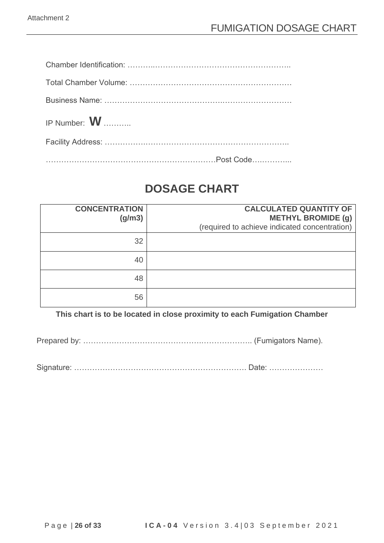| IP Number: W |  |
|--------------|--|
|              |  |
|              |  |

# **DOSAGE CHART**

| <b>CONCENTRATION</b><br>(g/m3) | <b>CALCULATED QUANTITY OF</b><br><b>METHYL BROMIDE (g)</b><br>(required to achieve indicated concentration) |
|--------------------------------|-------------------------------------------------------------------------------------------------------------|
| 32                             |                                                                                                             |
| 40                             |                                                                                                             |
| 48                             |                                                                                                             |
| 56                             |                                                                                                             |

**This chart is to be located in close proximity to each Fumigation Chamber**

Prepared by: ……………………………………….……………….. (Fumigators Name).

Signature: …………………………………………………………. Date: …………………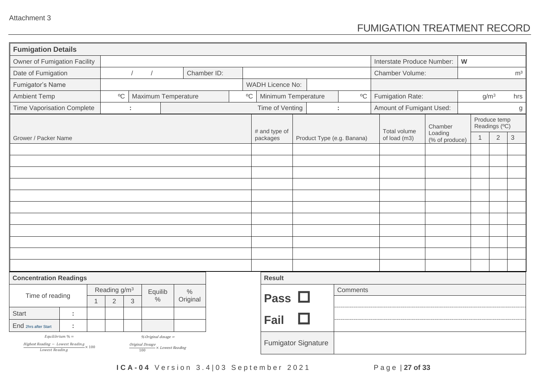## FUMIGATION TREATMENT RECORD

| <b>Fumigation Details</b>                                                                                                                                                                         |  |                |                          |   |         |                            |             |             |                         |  |  |                            |  |                            |                           |   |                |                               |                |
|---------------------------------------------------------------------------------------------------------------------------------------------------------------------------------------------------|--|----------------|--------------------------|---|---------|----------------------------|-------------|-------------|-------------------------|--|--|----------------------------|--|----------------------------|---------------------------|---|----------------|-------------------------------|----------------|
| Owner of Fumigation Facility                                                                                                                                                                      |  |                |                          |   |         |                            |             |             |                         |  |  |                            |  | Interstate Produce Number: |                           | W |                |                               |                |
| Date of Fumigation                                                                                                                                                                                |  |                |                          |   |         |                            | Chamber ID: |             |                         |  |  |                            |  | Chamber Volume:            |                           |   |                |                               | m <sup>3</sup> |
| Fumigator's Name                                                                                                                                                                                  |  |                |                          |   |         |                            |             |             | <b>WADH Licence No:</b> |  |  |                            |  |                            |                           |   |                |                               |                |
| <b>Ambient Temp</b>                                                                                                                                                                               |  |                | $\mathrm{^{0}C}$         |   |         | Maximum Temperature        |             | $\rm ^{0}C$ | Minimum Temperature     |  |  | $\mathrm{^o}\mathrm{C}$    |  | Fumigation Rate:           |                           |   | $g/m^3$        |                               | hrs            |
| <b>Time Vaporisation Complete</b>                                                                                                                                                                 |  |                |                          | ÷ |         |                            |             |             | Time of Venting         |  |  | ÷                          |  | Amount of Fumigant Used:   |                           |   |                |                               | g              |
|                                                                                                                                                                                                   |  |                |                          |   |         |                            |             |             | # and type of           |  |  |                            |  | Total volume               | Chamber                   |   |                | Produce temp<br>Readings (°C) |                |
| Grower / Packer Name                                                                                                                                                                              |  |                |                          |   |         |                            |             |             | packages                |  |  | Product Type (e.g. Banana) |  | of load (m3)               | Loading<br>(% of produce) |   | $\overline{1}$ | $\overline{2}$                | 3              |
|                                                                                                                                                                                                   |  |                |                          |   |         |                            |             |             |                         |  |  |                            |  |                            |                           |   |                |                               |                |
|                                                                                                                                                                                                   |  |                |                          |   |         |                            |             |             |                         |  |  |                            |  |                            |                           |   |                |                               |                |
|                                                                                                                                                                                                   |  |                |                          |   |         |                            |             |             |                         |  |  |                            |  |                            |                           |   |                |                               |                |
|                                                                                                                                                                                                   |  |                |                          |   |         |                            |             |             |                         |  |  |                            |  |                            |                           |   |                |                               |                |
|                                                                                                                                                                                                   |  |                |                          |   |         |                            |             |             |                         |  |  |                            |  |                            |                           |   |                |                               |                |
|                                                                                                                                                                                                   |  |                |                          |   |         |                            |             |             |                         |  |  |                            |  |                            |                           |   |                |                               |                |
|                                                                                                                                                                                                   |  |                |                          |   |         |                            |             |             |                         |  |  |                            |  |                            |                           |   |                |                               |                |
|                                                                                                                                                                                                   |  |                |                          |   |         |                            |             |             |                         |  |  |                            |  |                            |                           |   |                |                               |                |
|                                                                                                                                                                                                   |  |                |                          |   |         |                            |             |             |                         |  |  |                            |  |                            |                           |   |                |                               |                |
|                                                                                                                                                                                                   |  |                |                          |   |         |                            |             |             |                         |  |  |                            |  |                            |                           |   |                |                               |                |
|                                                                                                                                                                                                   |  |                |                          |   |         |                            |             |             |                         |  |  |                            |  |                            |                           |   |                |                               |                |
| <b>Concentration Readings</b>                                                                                                                                                                     |  |                |                          |   |         |                            |             |             | <b>Result</b>           |  |  |                            |  |                            |                           |   |                |                               |                |
|                                                                                                                                                                                                   |  |                | Reading g/m <sup>3</sup> |   | Equilib |                            | $\%$        |             |                         |  |  | Comments                   |  |                            |                           |   |                |                               |                |
| Time of reading                                                                                                                                                                                   |  | $\overline{1}$ | $\overline{2}$           | 3 | $\%$    |                            | Original    |             | Pass $\Box$             |  |  |                            |  |                            |                           |   |                |                               |                |
| <b>Start</b><br>÷                                                                                                                                                                                 |  |                |                          |   |         |                            |             |             |                         |  |  |                            |  |                            |                           |   |                |                               |                |
| End 2hrs after Start<br>÷                                                                                                                                                                         |  |                |                          |   |         |                            |             |             | <b>Fail</b>             |  |  |                            |  |                            |                           |   |                |                               |                |
| Equilibrium $% =$<br>% Original dosage =<br>$\frac {Higher Reading - {\it Lower Reading}} { {\it Lowest Reading} } \times 100$<br>$\frac{Original \, Dosage}{100} \times {\it Lowest \, Reading}$ |  |                |                          |   |         | <b>Fumigator Signature</b> |             |             |                         |  |  |                            |  |                            |                           |   |                |                               |                |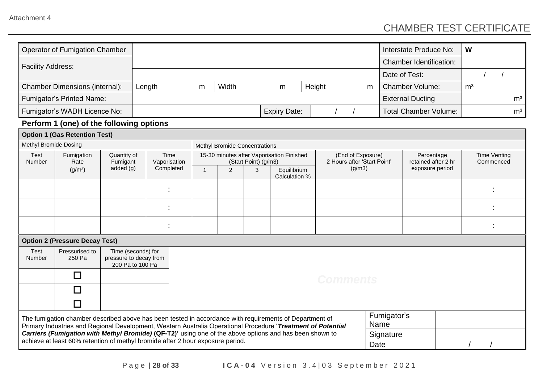## CHAMBER TEST CERTIFICATE

|                                          | <b>Operator of Fumigation Chamber</b>                                                                                                                                                                                   |                         |                                                                  |  |                |                                      |                      |                                           |        |                                                  |           |                 | Interstate Produce No:            | W              |                                  |                |
|------------------------------------------|-------------------------------------------------------------------------------------------------------------------------------------------------------------------------------------------------------------------------|-------------------------|------------------------------------------------------------------|--|----------------|--------------------------------------|----------------------|-------------------------------------------|--------|--------------------------------------------------|-----------|-----------------|-----------------------------------|----------------|----------------------------------|----------------|
| <b>Facility Address:</b>                 |                                                                                                                                                                                                                         |                         |                                                                  |  |                |                                      |                      |                                           |        |                                                  |           |                 | <b>Chamber Identification:</b>    |                |                                  |                |
|                                          |                                                                                                                                                                                                                         |                         |                                                                  |  |                |                                      |                      |                                           |        |                                                  |           | Date of Test:   |                                   |                |                                  |                |
|                                          | <b>Chamber Dimensions (internal):</b>                                                                                                                                                                                   |                         | Length                                                           |  | m              | Width                                |                      | m                                         | Height |                                                  | m         |                 | <b>Chamber Volume:</b>            | m <sup>3</sup> |                                  |                |
|                                          | <b>Fumigator's Printed Name:</b>                                                                                                                                                                                        |                         |                                                                  |  |                |                                      |                      |                                           |        |                                                  |           |                 | <b>External Ducting</b>           |                |                                  | m <sup>3</sup> |
|                                          | Fumigator's WADH Licence No:                                                                                                                                                                                            |                         |                                                                  |  |                |                                      |                      | <b>Expiry Date:</b>                       |        |                                                  |           |                 | <b>Total Chamber Volume:</b>      |                |                                  | m <sup>3</sup> |
| Perform 1 (one) of the following options |                                                                                                                                                                                                                         |                         |                                                                  |  |                |                                      |                      |                                           |        |                                                  |           |                 |                                   |                |                                  |                |
|                                          | <b>Option 1 (Gas Retention Test)</b>                                                                                                                                                                                    |                         |                                                                  |  |                |                                      |                      |                                           |        |                                                  |           |                 |                                   |                |                                  |                |
| Methyl Bromide Dosing                    |                                                                                                                                                                                                                         |                         |                                                                  |  |                | <b>Methyl Bromide Concentrations</b> |                      |                                           |        |                                                  |           |                 |                                   |                |                                  |                |
| Test<br>Number                           | Fumigation<br>Rate                                                                                                                                                                                                      | Quantity of<br>Fumigant | Time<br>Vaporisation                                             |  |                |                                      | (Start Point) (g/m3) | 15-30 minutes after Vaporisation Finished |        | (End of Exposure)<br>2 Hours after 'Start Point' |           |                 | Percentage<br>retained after 2 hr |                | <b>Time Venting</b><br>Commenced |                |
|                                          | (g/m <sup>3</sup> )                                                                                                                                                                                                     | added $(g)$             | Completed                                                        |  | $\overline{1}$ | 2                                    | 3                    | Equilibrium<br>Calculation %              |        | (g/m3)                                           |           | exposure period |                                   |                |                                  |                |
|                                          |                                                                                                                                                                                                                         |                         |                                                                  |  |                |                                      |                      |                                           |        |                                                  |           |                 |                                   |                |                                  |                |
|                                          |                                                                                                                                                                                                                         |                         |                                                                  |  |                |                                      |                      |                                           |        |                                                  |           |                 |                                   |                |                                  |                |
|                                          |                                                                                                                                                                                                                         |                         |                                                                  |  |                |                                      |                      |                                           |        |                                                  |           |                 |                                   |                |                                  |                |
|                                          | <b>Option 2 (Pressure Decay Test)</b>                                                                                                                                                                                   |                         |                                                                  |  |                |                                      |                      |                                           |        |                                                  |           |                 |                                   |                |                                  |                |
| Test<br>Number                           | Pressurised to<br>250 Pa                                                                                                                                                                                                |                         | Time (seconds) for<br>pressure to decay from<br>200 Pa to 100 Pa |  |                |                                      |                      |                                           |        |                                                  |           |                 |                                   |                |                                  |                |
|                                          | $\Box$                                                                                                                                                                                                                  |                         |                                                                  |  |                |                                      |                      |                                           |        | <b>Comments</b>                                  |           |                 |                                   |                |                                  |                |
|                                          | $\overline{\phantom{a}}$                                                                                                                                                                                                |                         |                                                                  |  |                |                                      |                      |                                           |        |                                                  |           |                 |                                   |                |                                  |                |
|                                          | $\Box$                                                                                                                                                                                                                  |                         |                                                                  |  |                |                                      |                      |                                           |        |                                                  |           |                 |                                   |                |                                  |                |
|                                          | The fumigation chamber described above has been tested in accordance with requirements of Department of                                                                                                                 |                         |                                                                  |  |                |                                      |                      |                                           |        |                                                  | Name      | Fumigator's     |                                   |                |                                  |                |
|                                          | Primary Industries and Regional Development, Western Australia Operational Procedure 'Treatment of Potential<br>Carriers (Fumigation with Methyl Bromide) (QF-T2)' using one of the above options and has been shown to |                         |                                                                  |  |                |                                      |                      |                                           |        |                                                  | Signature |                 |                                   |                |                                  |                |
|                                          | achieve at least 60% retention of methyl bromide after 2 hour exposure period.                                                                                                                                          |                         |                                                                  |  |                |                                      |                      |                                           |        | Date                                             |           |                 |                                   |                |                                  |                |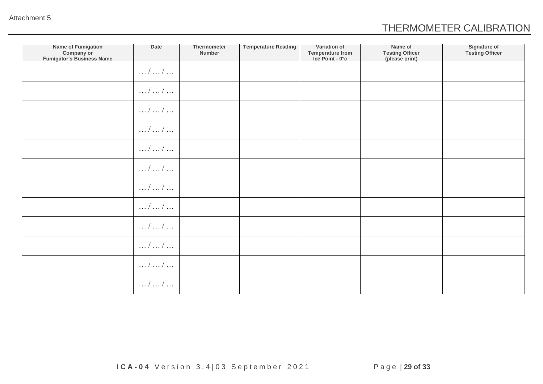## THERMOMETER CALIBRATION

| <b>Name of Fumigation</b><br>Company or<br><b>Fumigator's Business Name</b> | Date                      | Thermometer<br>Number | <b>Temperature Reading</b> | Variation of<br><b>Temperature from</b><br>Ice Point - 0°c | Name of<br><b>Testing Officer</b><br>(please print) | <b>Signature of</b><br><b>Testing Officer</b> |
|-----------------------------------------------------------------------------|---------------------------|-----------------------|----------------------------|------------------------------------------------------------|-----------------------------------------------------|-----------------------------------------------|
|                                                                             | $\dots/$ $\dots/$ $\dots$ |                       |                            |                                                            |                                                     |                                               |
|                                                                             | $\dots/$ $\dots/$ $\dots$ |                       |                            |                                                            |                                                     |                                               |
|                                                                             | $\dots/$ $\dots/$ $\dots$ |                       |                            |                                                            |                                                     |                                               |
|                                                                             | $\dots/$ $\dots/$ $\dots$ |                       |                            |                                                            |                                                     |                                               |
|                                                                             | $\dots/$ $\dots/$ $\dots$ |                       |                            |                                                            |                                                     |                                               |
|                                                                             | $\dots/$ $\dots/$ $\dots$ |                       |                            |                                                            |                                                     |                                               |
|                                                                             | $\dots/$ $\dots/$ $\dots$ |                       |                            |                                                            |                                                     |                                               |
|                                                                             | $\dots/$ $\dots/$ $\dots$ |                       |                            |                                                            |                                                     |                                               |
|                                                                             | $\dots/$ $\dots/$ $\dots$ |                       |                            |                                                            |                                                     |                                               |
|                                                                             | $\dots/$ $\dots/$ $\dots$ |                       |                            |                                                            |                                                     |                                               |
|                                                                             | $\dots/$ $\dots/$ $\dots$ |                       |                            |                                                            |                                                     |                                               |
|                                                                             | $\dots/$ $\dots/$ $\dots$ |                       |                            |                                                            |                                                     |                                               |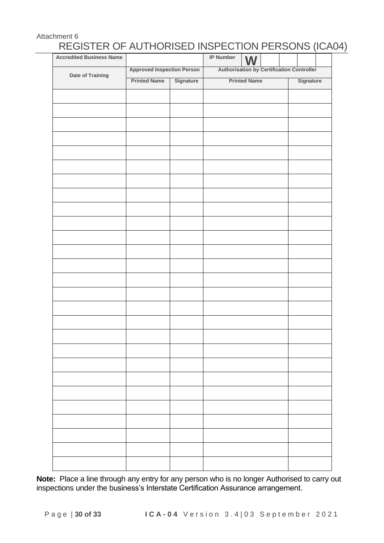### Attachment 6 REGISTER OF AUTHORISED INSPECTION PERSONS (ICA04)

| <b>Accredited Business Name</b> |                                   |           | IP Number | <b>W</b>                                         |           |  |
|---------------------------------|-----------------------------------|-----------|-----------|--------------------------------------------------|-----------|--|
| Date of Training                | <b>Approved Inspection Person</b> |           |           | <b>Authorisation by Certification Controller</b> |           |  |
|                                 | <b>Printed Name</b>               | Signature |           | <b>Printed Name</b>                              | Signature |  |
|                                 |                                   |           |           |                                                  |           |  |
|                                 |                                   |           |           |                                                  |           |  |
|                                 |                                   |           |           |                                                  |           |  |
|                                 |                                   |           |           |                                                  |           |  |
|                                 |                                   |           |           |                                                  |           |  |
|                                 |                                   |           |           |                                                  |           |  |
|                                 |                                   |           |           |                                                  |           |  |
|                                 |                                   |           |           |                                                  |           |  |
|                                 |                                   |           |           |                                                  |           |  |
|                                 |                                   |           |           |                                                  |           |  |
|                                 |                                   |           |           |                                                  |           |  |
|                                 |                                   |           |           |                                                  |           |  |
|                                 |                                   |           |           |                                                  |           |  |
|                                 |                                   |           |           |                                                  |           |  |
|                                 |                                   |           |           |                                                  |           |  |
|                                 |                                   |           |           |                                                  |           |  |
|                                 |                                   |           |           |                                                  |           |  |
|                                 |                                   |           |           |                                                  |           |  |
|                                 |                                   |           |           |                                                  |           |  |
|                                 |                                   |           |           |                                                  |           |  |
|                                 |                                   |           |           |                                                  |           |  |
|                                 |                                   |           |           |                                                  |           |  |
|                                 |                                   |           |           |                                                  |           |  |
|                                 |                                   |           |           |                                                  |           |  |
|                                 |                                   |           |           |                                                  |           |  |
|                                 |                                   |           |           |                                                  |           |  |
|                                 |                                   |           |           |                                                  |           |  |
|                                 |                                   |           |           |                                                  |           |  |
|                                 |                                   |           |           |                                                  |           |  |
|                                 |                                   |           |           |                                                  |           |  |
|                                 |                                   |           |           |                                                  |           |  |
|                                 |                                   |           |           |                                                  |           |  |
|                                 |                                   |           |           |                                                  |           |  |
|                                 |                                   |           |           |                                                  |           |  |

**Note:** Place a line through any entry for any person who is no longer Authorised to carry out inspections under the business's Interstate Certification Assurance arrangement.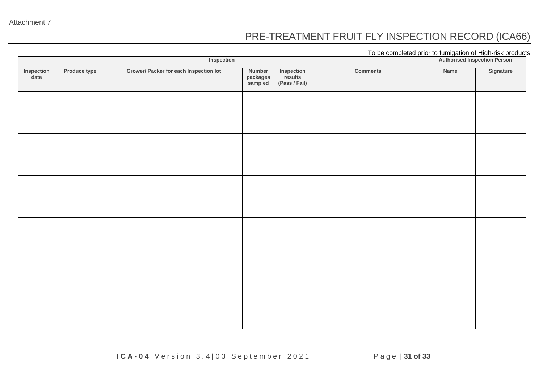### PRE-TREATMENT FRUIT FLY INSPECTION RECORD (ICA66)

To be completed prior to fumigation of High-risk products

|                    |              |                                        | Authorised Inspection Person  |                                        |                 |      |           |
|--------------------|--------------|----------------------------------------|-------------------------------|----------------------------------------|-----------------|------|-----------|
| Inspection<br>date | Produce type | Grower/ Packer for each Inspection lot | Number<br>packages<br>sampled | Inspection<br>results<br>(Pass / Fail) | <b>Comments</b> | Name | Signature |
|                    |              |                                        |                               |                                        |                 |      |           |
|                    |              |                                        |                               |                                        |                 |      |           |
|                    |              |                                        |                               |                                        |                 |      |           |
|                    |              |                                        |                               |                                        |                 |      |           |
|                    |              |                                        |                               |                                        |                 |      |           |
|                    |              |                                        |                               |                                        |                 |      |           |
|                    |              |                                        |                               |                                        |                 |      |           |
|                    |              |                                        |                               |                                        |                 |      |           |
|                    |              |                                        |                               |                                        |                 |      |           |
|                    |              |                                        |                               |                                        |                 |      |           |
|                    |              |                                        |                               |                                        |                 |      |           |
|                    |              |                                        |                               |                                        |                 |      |           |
|                    |              |                                        |                               |                                        |                 |      |           |
|                    |              |                                        |                               |                                        |                 |      |           |
|                    |              |                                        |                               |                                        |                 |      |           |
|                    |              |                                        |                               |                                        |                 |      |           |
|                    |              |                                        |                               |                                        |                 |      |           |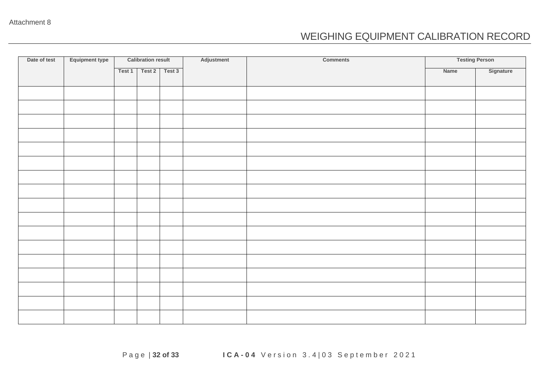### WEIGHING EQUIPMENT CALIBRATION RECORD

| Date of test | Equipment type | <b>Calibration result</b> |        |        | Adjustment | <b>Comments</b> | <b>Testing Person</b> |           |  |  |
|--------------|----------------|---------------------------|--------|--------|------------|-----------------|-----------------------|-----------|--|--|
|              |                | Test 1                    | Test 2 | Test 3 |            |                 | Name                  | Signature |  |  |
|              |                |                           |        |        |            |                 |                       |           |  |  |
|              |                |                           |        |        |            |                 |                       |           |  |  |
|              |                |                           |        |        |            |                 |                       |           |  |  |
|              |                |                           |        |        |            |                 |                       |           |  |  |
|              |                |                           |        |        |            |                 |                       |           |  |  |
|              |                |                           |        |        |            |                 |                       |           |  |  |
|              |                |                           |        |        |            |                 |                       |           |  |  |
|              |                |                           |        |        |            |                 |                       |           |  |  |
|              |                |                           |        |        |            |                 |                       |           |  |  |
|              |                |                           |        |        |            |                 |                       |           |  |  |
|              |                |                           |        |        |            |                 |                       |           |  |  |
|              |                |                           |        |        |            |                 |                       |           |  |  |
|              |                |                           |        |        |            |                 |                       |           |  |  |
|              |                |                           |        |        |            |                 |                       |           |  |  |
|              |                |                           |        |        |            |                 |                       |           |  |  |
|              |                |                           |        |        |            |                 |                       |           |  |  |
|              |                |                           |        |        |            |                 |                       |           |  |  |
|              |                |                           |        |        |            |                 |                       |           |  |  |
|              |                |                           |        |        |            |                 |                       |           |  |  |